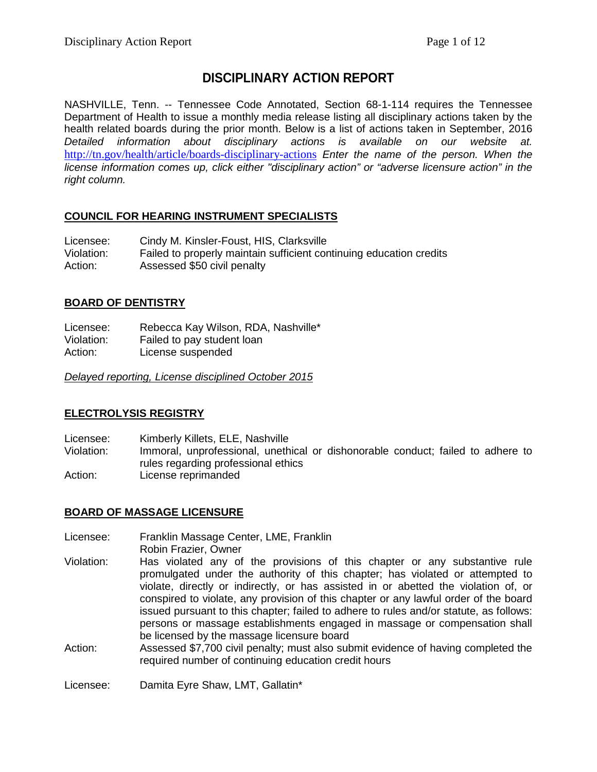# **DISCIPLINARY ACTION REPORT**

NASHVILLE, Tenn. -- Tennessee Code Annotated, Section 68-1-114 requires the Tennessee Department of Health to issue a monthly media release listing all disciplinary actions taken by the health related boards during the prior month. Below is a list of actions taken in September, 2016 *Detailed information about disciplinary actions is available on our website at.* <http://tn.gov/health/article/boards-disciplinary-actions> *Enter the name of the person. When the license information comes up, click either "disciplinary action" or "adverse licensure action" in the right column.*

## **COUNCIL FOR HEARING INSTRUMENT SPECIALISTS**

| Licensee:  | Cindy M. Kinsler-Foust, HIS, Clarksville                            |
|------------|---------------------------------------------------------------------|
| Violation: | Failed to properly maintain sufficient continuing education credits |
| Action:    | Assessed \$50 civil penalty                                         |

### **BOARD OF DENTISTRY**

Licensee: Rebecca Kay Wilson, RDA, Nashville\* Violation: Failed to pay student loan Action: License suspended

*Delayed reporting, License disciplined October 2015*

### **ELECTROLYSIS REGISTRY**

Licensee: Kimberly Killets, ELE, Nashville Violation: Immoral, unprofessional, unethical or dishonorable conduct; failed to adhere to rules regarding professional ethics Action: License reprimanded

## **BOARD OF MASSAGE LICENSURE**

- Licensee: Franklin Massage Center, LME, Franklin
- Robin Frazier, Owner Violation: Has violated any of the provisions of this chapter or any substantive rule promulgated under the authority of this chapter; has violated or attempted to violate, directly or indirectly, or has assisted in or abetted the violation of, or conspired to violate, any provision of this chapter or any lawful order of the board issued pursuant to this chapter; failed to adhere to rules and/or statute, as follows: persons or massage establishments engaged in massage or compensation shall be licensed by the massage licensure board
- Action: Assessed \$7,700 civil penalty; must also submit evidence of having completed the required number of continuing education credit hours

Licensee: Damita Eyre Shaw, LMT, Gallatin\*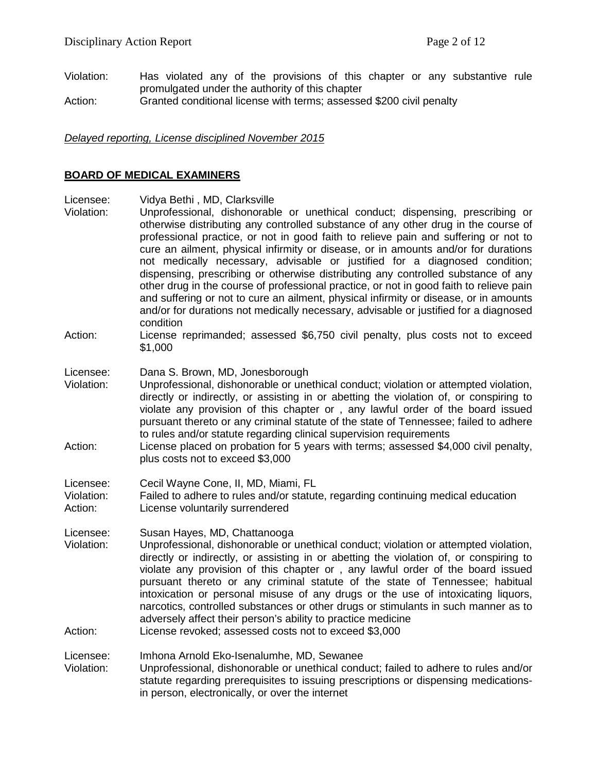Violation: Has violated any of the provisions of this chapter or any substantive rule promulgated under the authority of this chapter Action: Granted conditional license with terms; assessed \$200 civil penalty

#### *Delayed reporting, License disciplined November 2015*

#### **BOARD OF MEDICAL EXAMINERS**

- Licensee: Vidya Bethi , MD, Clarksville
- Violation: Unprofessional, dishonorable or unethical conduct; dispensing, prescribing or otherwise distributing any controlled substance of any other drug in the course of professional practice, or not in good faith to relieve pain and suffering or not to cure an ailment, physical infirmity or disease, or in amounts and/or for durations not medically necessary, advisable or justified for a diagnosed condition; dispensing, prescribing or otherwise distributing any controlled substance of any other drug in the course of professional practice, or not in good faith to relieve pain and suffering or not to cure an ailment, physical infirmity or disease, or in amounts and/or for durations not medically necessary, advisable or justified for a diagnosed condition
- Action: License reprimanded; assessed \$6,750 civil penalty, plus costs not to exceed \$1,000
- Licensee: Dana S. Brown, MD, Jonesborough<br>Violation: Unprofessional, dishonorable or une
- Unprofessional, dishonorable or unethical conduct; violation or attempted violation, directly or indirectly, or assisting in or abetting the violation of, or conspiring to violate any provision of this chapter or , any lawful order of the board issued pursuant thereto or any criminal statute of the state of Tennessee; failed to adhere to rules and/or statute regarding clinical supervision requirements
- Action: License placed on probation for 5 years with terms; assessed \$4,000 civil penalty, plus costs not to exceed \$3,000

Licensee: Cecil Wayne Cone, II, MD, Miami, FL

Violation: Failed to adhere to rules and/or statute, regarding continuing medical education Action: License voluntarily surrendered

Licensee: Susan Hayes, MD, Chattanooga<br>Violation: Unprofessional. dishonorable or u

- Unprofessional, dishonorable or unethical conduct; violation or attempted violation, directly or indirectly, or assisting in or abetting the violation of, or conspiring to violate any provision of this chapter or , any lawful order of the board issued pursuant thereto or any criminal statute of the state of Tennessee; habitual intoxication or personal misuse of any drugs or the use of intoxicating liquors, narcotics, controlled substances or other drugs or stimulants in such manner as to adversely affect their person's ability to practice medicine
- Action: License revoked; assessed costs not to exceed \$3,000

Licensee: Imhona Arnold Eko-Isenalumhe, MD, Sewanee

Violation: Unprofessional, dishonorable or unethical conduct; failed to adhere to rules and/or statute regarding prerequisites to issuing prescriptions or dispensing medicationsin person, electronically, or over the internet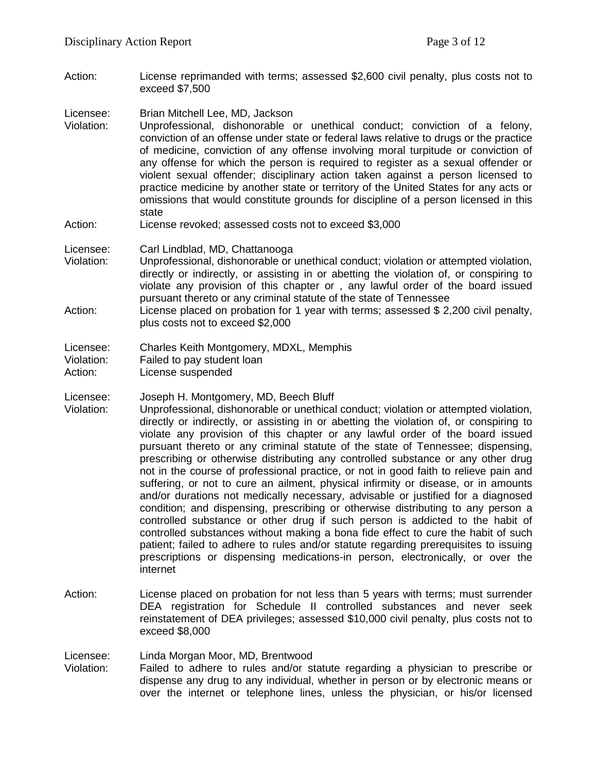Action: License reprimanded with terms; assessed \$2,600 civil penalty, plus costs not to exceed \$7,500

Licensee: Brian Mitchell Lee, MD, Jackson

- Violation: Unprofessional, dishonorable or unethical conduct; conviction of a felony, conviction of an offense under state or federal laws relative to drugs or the practice of medicine, conviction of any offense involving moral turpitude or conviction of any offense for which the person is required to register as a sexual offender or violent sexual offender; disciplinary action taken against a person licensed to practice medicine by another state or territory of the United States for any acts or omissions that would constitute grounds for discipline of a person licensed in this state
- Action: License revoked; assessed costs not to exceed \$3,000

Licensee: Carl Lindblad, MD, Chattanooga

- Violation: Unprofessional, dishonorable or unethical conduct; violation or attempted violation, directly or indirectly, or assisting in or abetting the violation of, or conspiring to violate any provision of this chapter or , any lawful order of the board issued pursuant thereto or any criminal statute of the state of Tennessee
- Action: License placed on probation for 1 year with terms; assessed \$ 2,200 civil penalty, plus costs not to exceed \$2,000

Licensee: Charles Keith Montgomery, MDXL, Memphis<br>Violation: Failed to pay student loan Violation: Failed to pay student loan<br>Action: Ficense suspended

License suspended

Licensee: Joseph H. Montgomery, MD, Beech Bluff

- Violation: Unprofessional, dishonorable or unethical conduct; violation or attempted violation, directly or indirectly, or assisting in or abetting the violation of, or conspiring to violate any provision of this chapter or any lawful order of the board issued pursuant thereto or any criminal statute of the state of Tennessee; dispensing, prescribing or otherwise distributing any controlled substance or any other drug not in the course of professional practice, or not in good faith to relieve pain and suffering, or not to cure an ailment, physical infirmity or disease, or in amounts and/or durations not medically necessary, advisable or justified for a diagnosed condition; and dispensing, prescribing or otherwise distributing to any person a controlled substance or other drug if such person is addicted to the habit of controlled substances without making a bona fide effect to cure the habit of such patient; failed to adhere to rules and/or statute regarding prerequisites to issuing prescriptions or dispensing medications-in person, electronically, or over the internet
- Action: License placed on probation for not less than 5 years with terms; must surrender DEA registration for Schedule II controlled substances and never seek reinstatement of DEA privileges; assessed \$10,000 civil penalty, plus costs not to exceed \$8,000

Licensee: Linda Morgan Moor, MD, Brentwood<br>Violation: Failed to adhere to rules and/or st

Failed to adhere to rules and/or statute regarding a physician to prescribe or dispense any drug to any individual, whether in person or by electronic means or over the internet or telephone lines, unless the physician, or his/or licensed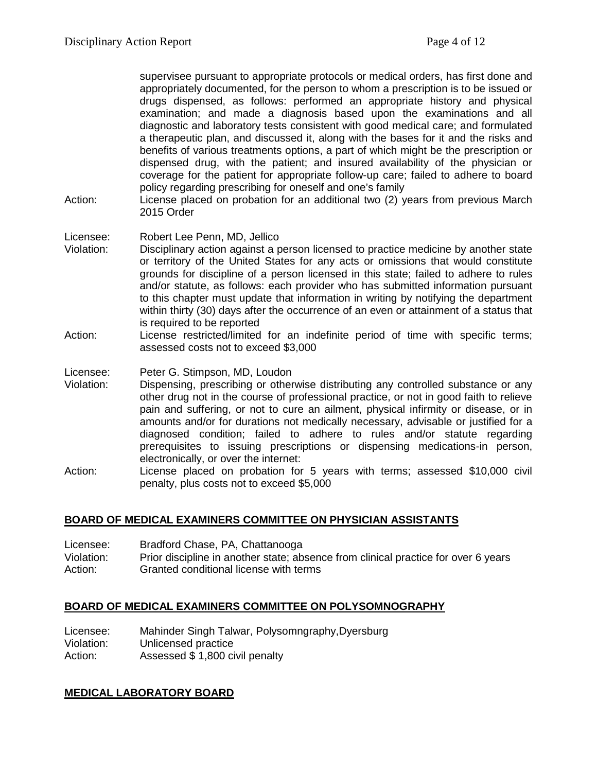supervisee pursuant to appropriate protocols or medical orders, has first done and appropriately documented, for the person to whom a prescription is to be issued or drugs dispensed, as follows: performed an appropriate history and physical examination; and made a diagnosis based upon the examinations and all diagnostic and laboratory tests consistent with good medical care; and formulated a therapeutic plan, and discussed it, along with the bases for it and the risks and benefits of various treatments options, a part of which might be the prescription or dispensed drug, with the patient; and insured availability of the physician or coverage for the patient for appropriate follow-up care; failed to adhere to board policy regarding prescribing for oneself and one's family

Action: License placed on probation for an additional two (2) years from previous March 2015 Order

### Licensee: Robert Lee Penn, MD, Jellico

- Violation: Disciplinary action against a person licensed to practice medicine by another state or territory of the United States for any acts or omissions that would constitute grounds for discipline of a person licensed in this state; failed to adhere to rules and/or statute, as follows: each provider who has submitted information pursuant to this chapter must update that information in writing by notifying the department within thirty (30) days after the occurrence of an even or attainment of a status that is required to be reported
- Action: License restricted/limited for an indefinite period of time with specific terms; assessed costs not to exceed \$3,000

Licensee: Peter G. Stimpson, MD, Loudon

- Violation: Dispensing, prescribing or otherwise distributing any controlled substance or any other drug not in the course of professional practice, or not in good faith to relieve pain and suffering, or not to cure an ailment, physical infirmity or disease, or in amounts and/or for durations not medically necessary, advisable or justified for a diagnosed condition; failed to adhere to rules and/or statute regarding prerequisites to issuing prescriptions or dispensing medications-in person, electronically, or over the internet:
- Action: License placed on probation for 5 years with terms; assessed \$10,000 civil penalty, plus costs not to exceed \$5,000

### **BOARD OF MEDICAL EXAMINERS COMMITTEE ON PHYSICIAN ASSISTANTS**

| Licensee:  | Bradford Chase, PA, Chattanooga                                                    |
|------------|------------------------------------------------------------------------------------|
| Violation: | Prior discipline in another state; absence from clinical practice for over 6 years |
| Action:    | Granted conditional license with terms                                             |

### **BOARD OF MEDICAL EXAMINERS COMMITTEE ON POLYSOMNOGRAPHY**

Licensee: Mahinder Singh Talwar, Polysomngraphy, Dyersburg<br>Violation: Unlicensed practice Violation: Unlicensed practice<br>Action: Assessed \$1.800 ci Assessed \$ 1,800 civil penalty

#### **MEDICAL LABORATORY BOARD**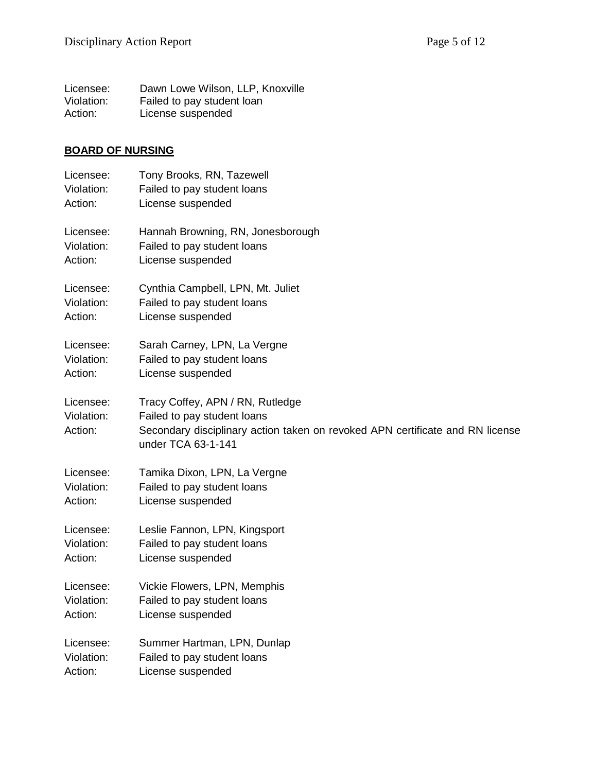| Licensee:  | Dawn Lowe Wilson, LLP, Knoxville |
|------------|----------------------------------|
| Violation: | Failed to pay student loan       |
| Action:    | License suspended                |

## **BOARD OF NURSING**

| Licensee:                          | Tony Brooks, RN, Tazewell                                                                                                                                              |
|------------------------------------|------------------------------------------------------------------------------------------------------------------------------------------------------------------------|
| Violation:                         | Failed to pay student loans                                                                                                                                            |
| Action:                            | License suspended                                                                                                                                                      |
| Licensee:                          | Hannah Browning, RN, Jonesborough                                                                                                                                      |
| Violation:                         | Failed to pay student loans                                                                                                                                            |
| Action:                            | License suspended                                                                                                                                                      |
| Licensee:                          | Cynthia Campbell, LPN, Mt. Juliet                                                                                                                                      |
| Violation:                         | Failed to pay student loans                                                                                                                                            |
| Action:                            | License suspended                                                                                                                                                      |
| Licensee:                          | Sarah Carney, LPN, La Vergne                                                                                                                                           |
| Violation:                         | Failed to pay student loans                                                                                                                                            |
| Action:                            | License suspended                                                                                                                                                      |
| Licensee:<br>Violation:<br>Action: | Tracy Coffey, APN / RN, Rutledge<br>Failed to pay student loans<br>Secondary disciplinary action taken on revoked APN certificate and RN license<br>under TCA 63-1-141 |
| Licensee:                          | Tamika Dixon, LPN, La Vergne                                                                                                                                           |
| Violation:                         | Failed to pay student loans                                                                                                                                            |
| Action:                            | License suspended                                                                                                                                                      |
| Licensee:                          | Leslie Fannon, LPN, Kingsport                                                                                                                                          |
| Violation:                         | Failed to pay student loans                                                                                                                                            |
| Action:                            | License suspended                                                                                                                                                      |
| Licensee:                          | Vickie Flowers, LPN, Memphis                                                                                                                                           |
| Violation:                         | Failed to pay student loans                                                                                                                                            |
| Action:                            | License suspended                                                                                                                                                      |
| Licensee:                          | Summer Hartman, LPN, Dunlap                                                                                                                                            |
| Violation:                         | Failed to pay student loans                                                                                                                                            |
| Action:                            | License suspended                                                                                                                                                      |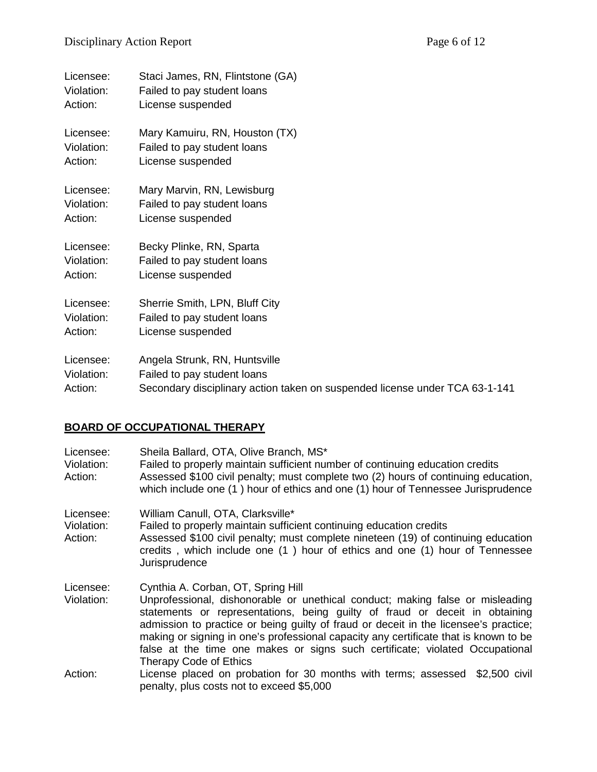| Licensee:<br>Violation: | Staci James, RN, Flintstone (GA)<br>Failed to pay student loans             |
|-------------------------|-----------------------------------------------------------------------------|
| Action:                 | License suspended                                                           |
| Licensee:               | Mary Kamuiru, RN, Houston (TX)                                              |
| Violation:<br>Action:   | Failed to pay student loans<br>License suspended                            |
| Licensee:               | Mary Marvin, RN, Lewisburg                                                  |
| Violation:<br>Action:   | Failed to pay student loans<br>License suspended                            |
| Licensee:               | Becky Plinke, RN, Sparta                                                    |
| Violation:<br>Action:   | Failed to pay student loans<br>License suspended                            |
| Licensee:               | Sherrie Smith, LPN, Bluff City                                              |
| Violation:              | Failed to pay student loans                                                 |
| Action:                 | License suspended                                                           |
| Licensee:               | Angela Strunk, RN, Huntsville                                               |
| Violation:              | Failed to pay student loans                                                 |
| Action:                 | Secondary disciplinary action taken on suspended license under TCA 63-1-141 |

## **BOARD OF OCCUPATIONAL THERAPY**

| Licensee:<br>Violation:<br>Action: | Sheila Ballard, OTA, Olive Branch, MS*<br>Failed to properly maintain sufficient number of continuing education credits<br>Assessed \$100 civil penalty; must complete two (2) hours of continuing education,<br>which include one (1) hour of ethics and one (1) hour of Tennessee Jurisprudence                                                                                                                                                                                                   |
|------------------------------------|-----------------------------------------------------------------------------------------------------------------------------------------------------------------------------------------------------------------------------------------------------------------------------------------------------------------------------------------------------------------------------------------------------------------------------------------------------------------------------------------------------|
| Licensee:<br>Violation:<br>Action: | William Canull, OTA, Clarksville*<br>Failed to properly maintain sufficient continuing education credits<br>Assessed \$100 civil penalty; must complete nineteen (19) of continuing education<br>credits, which include one (1) hour of ethics and one (1) hour of Tennessee<br>Jurisprudence                                                                                                                                                                                                       |
| Licensee:<br>Violation:            | Cynthia A. Corban, OT, Spring Hill<br>Unprofessional, dishonorable or unethical conduct; making false or misleading<br>statements or representations, being guilty of fraud or deceit in obtaining<br>admission to practice or being guilty of fraud or deceit in the licensee's practice;<br>making or signing in one's professional capacity any certificate that is known to be<br>false at the time one makes or signs such certificate; violated Occupational<br><b>Therapy Code of Ethics</b> |
| Action:                            | License placed on probation for 30 months with terms; assessed \$2,500 civil<br>penalty, plus costs not to exceed \$5,000                                                                                                                                                                                                                                                                                                                                                                           |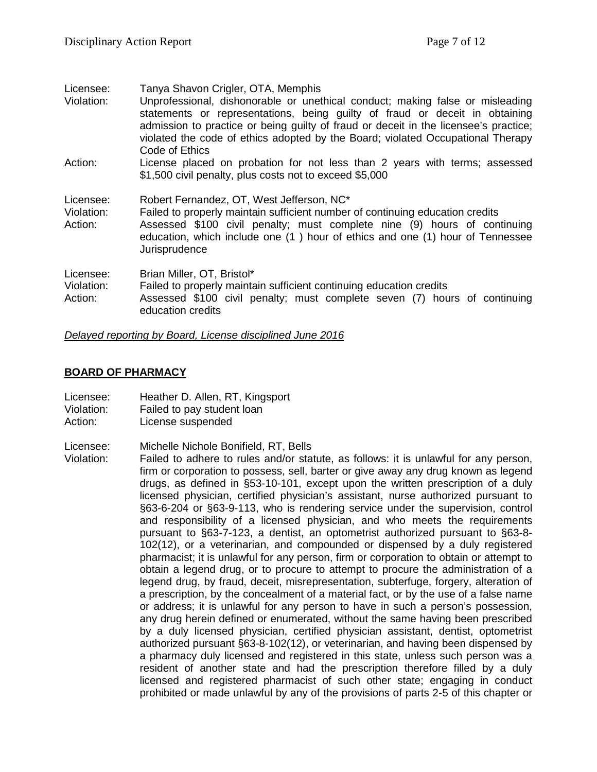| Licensee:                          | Tanya Shavon Crigler, OTA, Memphis                                                                                                                                                                                                                                                                                                                        |
|------------------------------------|-----------------------------------------------------------------------------------------------------------------------------------------------------------------------------------------------------------------------------------------------------------------------------------------------------------------------------------------------------------|
| Violation:                         | Unprofessional, dishonorable or unethical conduct; making false or misleading<br>statements or representations, being guilty of fraud or deceit in obtaining<br>admission to practice or being guilty of fraud or deceit in the licensee's practice;<br>violated the code of ethics adopted by the Board; violated Occupational Therapy<br>Code of Ethics |
| Action:                            | License placed on probation for not less than 2 years with terms; assessed<br>\$1,500 civil penalty, plus costs not to exceed \$5,000                                                                                                                                                                                                                     |
| Licensee:<br>Violation:<br>Action: | Robert Fernandez, OT, West Jefferson, NC*<br>Failed to properly maintain sufficient number of continuing education credits<br>Assessed \$100 civil penalty; must complete nine (9) hours of continuing<br>education, which include one (1) hour of ethics and one (1) hour of Tennessee<br>Jurisprudence                                                  |
| Licensee:<br>Violation:<br>Action: | Brian Miller, OT, Bristol*<br>Failed to properly maintain sufficient continuing education credits<br>Assessed \$100 civil penalty; must complete seven (7) hours of continuing<br>education credits                                                                                                                                                       |

*Delayed reporting by Board, License disciplined June 2016*

### **BOARD OF PHARMACY**

| Licensee:                                | Heather D. Allen, RT, Kingsport |
|------------------------------------------|---------------------------------|
| $\mathbf{v}$ . The state of $\mathbf{v}$ |                                 |

- Violation: Failed to pay student loan
- Action: License suspended

Licensee: Michelle Nichole Bonifield, RT, Bells

Violation: Failed to adhere to rules and/or statute, as follows: it is unlawful for any person, firm or corporation to possess, sell, barter or give away any drug known as legend drugs, as defined in §53-10-101, except upon the written prescription of a duly licensed physician, certified physician's assistant, nurse authorized pursuant to §63-6-204 or §63-9-113, who is rendering service under the supervision, control and responsibility of a licensed physician, and who meets the requirements pursuant to §63-7-123, a dentist, an optometrist authorized pursuant to §63-8- 102(12), or a veterinarian, and compounded or dispensed by a duly registered pharmacist; it is unlawful for any person, firm or corporation to obtain or attempt to obtain a legend drug, or to procure to attempt to procure the administration of a legend drug, by fraud, deceit, misrepresentation, subterfuge, forgery, alteration of a prescription, by the concealment of a material fact, or by the use of a false name or address; it is unlawful for any person to have in such a person's possession, any drug herein defined or enumerated, without the same having been prescribed by a duly licensed physician, certified physician assistant, dentist, optometrist authorized pursuant §63-8-102(12), or veterinarian, and having been dispensed by a pharmacy duly licensed and registered in this state, unless such person was a resident of another state and had the prescription therefore filled by a duly licensed and registered pharmacist of such other state; engaging in conduct prohibited or made unlawful by any of the provisions of parts 2-5 of this chapter or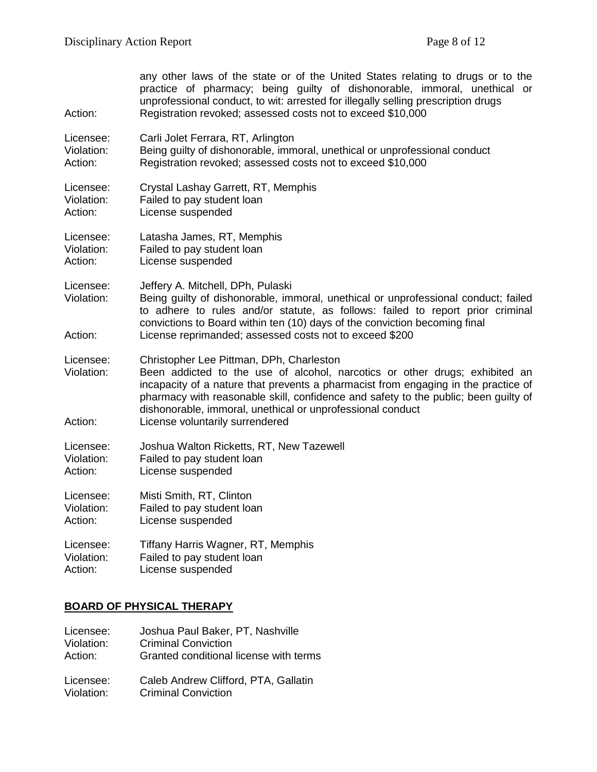| Action:                            | any other laws of the state or of the United States relating to drugs or to the<br>practice of pharmacy; being guilty of dishonorable, immoral, unethical or<br>unprofessional conduct, to wit: arrested for illegally selling prescription drugs<br>Registration revoked; assessed costs not to exceed \$10,000                                                                                      |
|------------------------------------|-------------------------------------------------------------------------------------------------------------------------------------------------------------------------------------------------------------------------------------------------------------------------------------------------------------------------------------------------------------------------------------------------------|
| Licensee:                          | Carli Jolet Ferrara, RT, Arlington                                                                                                                                                                                                                                                                                                                                                                    |
| Violation:                         | Being guilty of dishonorable, immoral, unethical or unprofessional conduct                                                                                                                                                                                                                                                                                                                            |
| Action:                            | Registration revoked; assessed costs not to exceed \$10,000                                                                                                                                                                                                                                                                                                                                           |
| Licensee:                          | Crystal Lashay Garrett, RT, Memphis                                                                                                                                                                                                                                                                                                                                                                   |
| Violation:                         | Failed to pay student loan                                                                                                                                                                                                                                                                                                                                                                            |
| Action:                            | License suspended                                                                                                                                                                                                                                                                                                                                                                                     |
| Licensee:                          | Latasha James, RT, Memphis                                                                                                                                                                                                                                                                                                                                                                            |
| Violation:                         | Failed to pay student loan                                                                                                                                                                                                                                                                                                                                                                            |
| Action:                            | License suspended                                                                                                                                                                                                                                                                                                                                                                                     |
| Licensee:<br>Violation:<br>Action: | Jeffery A. Mitchell, DPh, Pulaski<br>Being guilty of dishonorable, immoral, unethical or unprofessional conduct; failed<br>to adhere to rules and/or statute, as follows: failed to report prior criminal<br>convictions to Board within ten (10) days of the conviction becoming final<br>License reprimanded; assessed costs not to exceed \$200                                                    |
| Licensee:<br>Violation:<br>Action: | Christopher Lee Pittman, DPh, Charleston<br>Been addicted to the use of alcohol, narcotics or other drugs; exhibited an<br>incapacity of a nature that prevents a pharmacist from engaging in the practice of<br>pharmacy with reasonable skill, confidence and safety to the public; been guilty of<br>dishonorable, immoral, unethical or unprofessional conduct<br>License voluntarily surrendered |
| Licensee:                          | Joshua Walton Ricketts, RT, New Tazewell                                                                                                                                                                                                                                                                                                                                                              |
| Violation:                         | Failed to pay student loan                                                                                                                                                                                                                                                                                                                                                                            |
| Action:                            | License suspended                                                                                                                                                                                                                                                                                                                                                                                     |
| Licensee:                          | Misti Smith, RT, Clinton                                                                                                                                                                                                                                                                                                                                                                              |
| Violation:                         | Failed to pay student loan                                                                                                                                                                                                                                                                                                                                                                            |
| Action:                            | License suspended                                                                                                                                                                                                                                                                                                                                                                                     |
| Licensee:                          | Tiffany Harris Wagner, RT, Memphis                                                                                                                                                                                                                                                                                                                                                                    |
| Violation:                         | Failed to pay student loan                                                                                                                                                                                                                                                                                                                                                                            |
| Action:                            | License suspended                                                                                                                                                                                                                                                                                                                                                                                     |

## **BOARD OF PHYSICAL THERAPY**

| Licensee:  | Joshua Paul Baker, PT, Nashville       |
|------------|----------------------------------------|
| Violation: | <b>Criminal Conviction</b>             |
| Action:    | Granted conditional license with terms |
| Licensee:  | Caleb Andrew Clifford, PTA, Gallatin   |
| Violation: | <b>Criminal Conviction</b>             |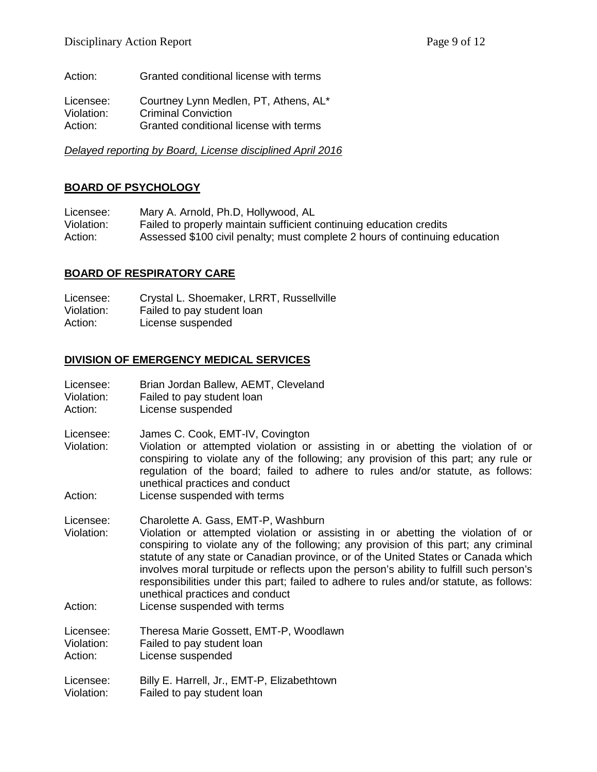Action: Granted conditional license with terms

Licensee: Courtney Lynn Medlen, PT, Athens, AL\*<br>Violation: Criminal Conviction Criminal Conviction Action: Granted conditional license with terms

*Delayed reporting by Board, License disciplined April 2016*

### **BOARD OF PSYCHOLOGY**

Licensee: Mary A. Arnold, Ph.D, Hollywood, AL<br>Violation: Failed to properly maintain sufficient of Failed to properly maintain sufficient continuing education credits Action: Assessed \$100 civil penalty; must complete 2 hours of continuing education

### **BOARD OF RESPIRATORY CARE**

Licensee: Crystal L. Shoemaker, LRRT, Russellville Violation: Failed to pay student loan Action: License suspended

### **DIVISION OF EMERGENCY MEDICAL SERVICES**

| Licensee:                          | Brian Jordan Ballew, AEMT, Cleveland                                                                                                                                                                                                                                                                                                                                                                                                                                                                                                                           |
|------------------------------------|----------------------------------------------------------------------------------------------------------------------------------------------------------------------------------------------------------------------------------------------------------------------------------------------------------------------------------------------------------------------------------------------------------------------------------------------------------------------------------------------------------------------------------------------------------------|
| Violation:                         | Failed to pay student loan                                                                                                                                                                                                                                                                                                                                                                                                                                                                                                                                     |
| Action:                            | License suspended                                                                                                                                                                                                                                                                                                                                                                                                                                                                                                                                              |
| Licensee:<br>Violation:<br>Action: | James C. Cook, EMT-IV, Covington<br>Violation or attempted violation or assisting in or abetting the violation of or<br>conspiring to violate any of the following; any provision of this part; any rule or<br>regulation of the board; failed to adhere to rules and/or statute, as follows:<br>unethical practices and conduct<br>License suspended with terms                                                                                                                                                                                               |
| Licensee:<br>Violation:<br>Action: | Charolette A. Gass, EMT-P, Washburn<br>Violation or attempted violation or assisting in or abetting the violation of or<br>conspiring to violate any of the following; any provision of this part; any criminal<br>statute of any state or Canadian province, or of the United States or Canada which<br>involves moral turpitude or reflects upon the person's ability to fulfill such person's<br>responsibilities under this part; failed to adhere to rules and/or statute, as follows:<br>unethical practices and conduct<br>License suspended with terms |
| Licensee:                          | Theresa Marie Gossett, EMT-P, Woodlawn                                                                                                                                                                                                                                                                                                                                                                                                                                                                                                                         |
| Violation:                         | Failed to pay student loan                                                                                                                                                                                                                                                                                                                                                                                                                                                                                                                                     |
| Action:                            | License suspended                                                                                                                                                                                                                                                                                                                                                                                                                                                                                                                                              |
| Licensee:                          | Billy E. Harrell, Jr., EMT-P, Elizabethtown                                                                                                                                                                                                                                                                                                                                                                                                                                                                                                                    |
| Violation:                         | Failed to pay student loan                                                                                                                                                                                                                                                                                                                                                                                                                                                                                                                                     |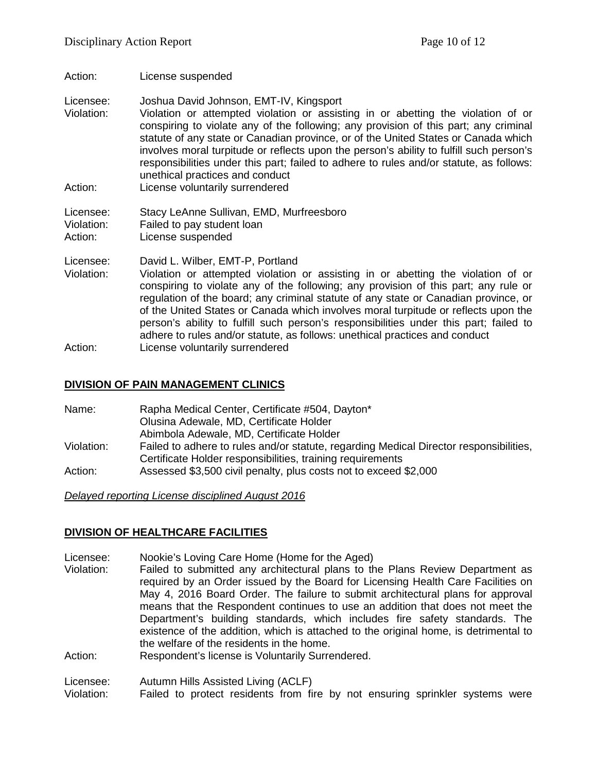Action: License suspended

Licensee: Joshua David Johnson, EMT-IV, Kingsport

- Violation: Violation or attempted violation or assisting in or abetting the violation of or conspiring to violate any of the following; any provision of this part; any criminal statute of any state or Canadian province, or of the United States or Canada which involves moral turpitude or reflects upon the person's ability to fulfill such person's responsibilities under this part; failed to adhere to rules and/or statute, as follows: unethical practices and conduct
- Action: License voluntarily surrendered

Licensee: Stacy LeAnne Sullivan, EMD, Murfreesboro Violation: Failed to pay student loan Action: License suspended

Licensee: David L. Wilber, EMT-P, Portland Violation: Violation or attempted violation or assisting in or abetting the violation of or conspiring to violate any of the following; any provision of this part; any rule or regulation of the board; any criminal statute of any state or Canadian province, or of the United States or Canada which involves moral turpitude or reflects upon the person's ability to fulfill such person's responsibilities under this part; failed to adhere to rules and/or statute, as follows: unethical practices and conduct Action: License voluntarily surrendered

### **DIVISION OF PAIN MANAGEMENT CLINICS**

| Name:      | Rapha Medical Center, Certificate #504, Dayton*                                        |
|------------|----------------------------------------------------------------------------------------|
|            | Olusina Adewale, MD, Certificate Holder                                                |
|            | Abimbola Adewale, MD, Certificate Holder                                               |
| Violation: | Failed to adhere to rules and/or statute, regarding Medical Director responsibilities, |
|            | Certificate Holder responsibilities, training requirements                             |
| Action:    | Assessed \$3,500 civil penalty, plus costs not to exceed \$2,000                       |

*Delayed reporting License disciplined August 2016*

### **DIVISION OF HEALTHCARE FACILITIES**

- Licensee: Nookie's Loving Care Home (Home for the Aged)
- Violation: Failed to submitted any architectural plans to the Plans Review Department as required by an Order issued by the Board for Licensing Health Care Facilities on May 4, 2016 Board Order. The failure to submit architectural plans for approval means that the Respondent continues to use an addition that does not meet the Department's building standards, which includes fire safety standards. The existence of the addition, which is attached to the original home, is detrimental to the welfare of the residents in the home.
- Action: Respondent's license is Voluntarily Surrendered.

Licensee: Autumn Hills Assisted Living (ACLF)<br>Violation: Failed to protect residents from fil

Failed to protect residents from fire by not ensuring sprinkler systems were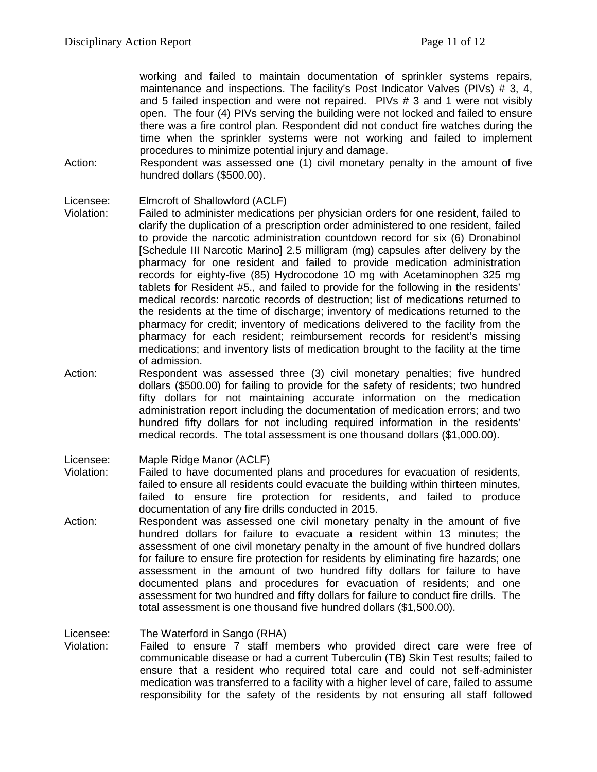working and failed to maintain documentation of sprinkler systems repairs, maintenance and inspections. The facility's Post Indicator Valves (PIVs) # 3, 4, and 5 failed inspection and were not repaired. PIVs # 3 and 1 were not visibly open. The four (4) PIVs serving the building were not locked and failed to ensure there was a fire control plan. Respondent did not conduct fire watches during the time when the sprinkler systems were not working and failed to implement procedures to minimize potential injury and damage.

Action: Respondent was assessed one (1) civil monetary penalty in the amount of five hundred dollars (\$500.00).

#### Licensee: Elmcroft of Shallowford (ACLF)

- Violation: Failed to administer medications per physician orders for one resident, failed to clarify the duplication of a prescription order administered to one resident, failed to provide the narcotic administration countdown record for six (6) Dronabinol [Schedule III Narcotic Marino] 2.5 milligram (mg) capsules after delivery by the pharmacy for one resident and failed to provide medication administration records for eighty-five (85) Hydrocodone 10 mg with Acetaminophen 325 mg tablets for Resident #5., and failed to provide for the following in the residents' medical records: narcotic records of destruction; list of medications returned to the residents at the time of discharge; inventory of medications returned to the pharmacy for credit; inventory of medications delivered to the facility from the pharmacy for each resident; reimbursement records for resident's missing medications; and inventory lists of medication brought to the facility at the time of admission.
- Action: Respondent was assessed three (3) civil monetary penalties; five hundred dollars (\$500.00) for failing to provide for the safety of residents; two hundred fifty dollars for not maintaining accurate information on the medication administration report including the documentation of medication errors; and two hundred fifty dollars for not including required information in the residents' medical records. The total assessment is one thousand dollars (\$1,000.00).

Licensee: Maple Ridge Manor (ACLF)

- Violation: Failed to have documented plans and procedures for evacuation of residents, failed to ensure all residents could evacuate the building within thirteen minutes, failed to ensure fire protection for residents, and failed to produce documentation of any fire drills conducted in 2015.
- Action: Respondent was assessed one civil monetary penalty in the amount of five hundred dollars for failure to evacuate a resident within 13 minutes; the assessment of one civil monetary penalty in the amount of five hundred dollars for failure to ensure fire protection for residents by eliminating fire hazards; one assessment in the amount of two hundred fifty dollars for failure to have documented plans and procedures for evacuation of residents; and one assessment for two hundred and fifty dollars for failure to conduct fire drills. The total assessment is one thousand five hundred dollars (\$1,500.00).

Licensee: The Waterford in Sango (RHA)

Violation: Failed to ensure 7 staff members who provided direct care were free of communicable disease or had a current Tuberculin (TB) Skin Test results; failed to ensure that a resident who required total care and could not self-administer medication was transferred to a facility with a higher level of care, failed to assume responsibility for the safety of the residents by not ensuring all staff followed